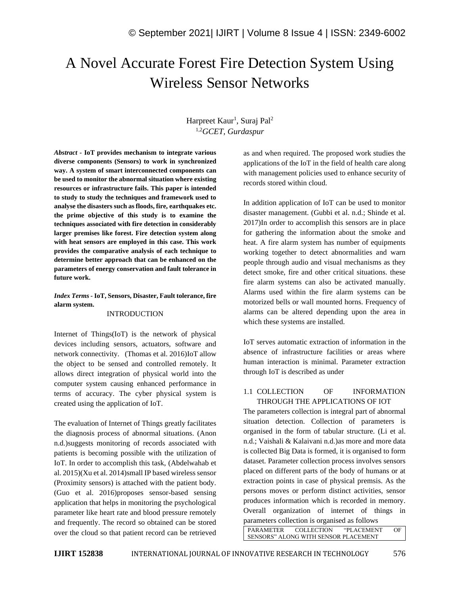# A Novel Accurate Forest Fire Detection System Using Wireless Sensor Networks

# Harpreet Kaur<sup>1</sup>, Suraj Pal<sup>2</sup> 1,2*GCET, Gurdaspur*

*Abstract -* **IoT provides mechanism to integrate various diverse components (Sensors) to work in synchronized way. A system of smart interconnected components can be used to monitor the abnormal situation where existing resources or infrastructure fails. This paper is intended to study to study the techniques and framework used to analyse the disasters such as floods, fire, earthquakes etc. the prime objective of this study is to examine the techniques associated with fire detection in considerably larger premises like forest. Fire detection system along with heat sensors are employed in this case. This work provides the comparative analysis of each technique to determine better approach that can be enhanced on the parameters of energy conservation and fault tolerance in future work.**

*Index Terms -* **IoT, Sensors, Disaster, Fault tolerance, fire alarm system.**

#### INTRODUCTION

Internet of Things(IoT) is the network of physical devices including sensors, actuators, software and network connectivity. (Thomas et al. 2016)IoT allow the object to be sensed and controlled remotely. It allows direct integration of physical world into the computer system causing enhanced performance in terms of accuracy. The cyber physical system is created using the application of IoT.

The evaluation of Internet of Things greatly facilitates the diagnosis process of abnormal situations. (Anon n.d.)suggests monitoring of records associated with patients is becoming possible with the utilization of IoT. In order to accomplish this task, (Abdelwahab et al. 2015)(Xu et al. 2014)small IP based wireless sensor (Proximity sensors) is attached with the patient body. (Guo et al. 2016)proposes sensor-based sensing application that helps in monitoring the psychological parameter like heart rate and blood pressure remotely and frequently. The record so obtained can be stored over the cloud so that patient record can be retrieved as and when required. The proposed work studies the applications of the IoT in the field of health care along with management policies used to enhance security of records stored within cloud.

In addition application of IoT can be used to monitor disaster management. (Gubbi et al. n.d.; Shinde et al. 2017)In order to accomplish this sensors are in place for gathering the information about the smoke and heat. A fire alarm system has number of equipments working together to detect abnormalities and warn people through audio and visual mechanisms as they detect smoke, fire and other critical situations. these fire alarm systems can also be activated manually. Alarms used within the fire alarm systems can be motorized bells or wall mounted horns. Frequency of alarms can be altered depending upon the area in which these systems are installed.

IoT serves automatic extraction of information in the absence of infrastructure facilities or areas where human interaction is minimal. Parameter extraction through IoT is described as under

#### 1.1 COLLECTION OF INFORMATION THROUGH THE APPLICATIONS OF IOT

The parameters collection is integral part of abnormal situation detection. Collection of parameters is organised in the form of tabular structure. (Li et al. n.d.; Vaishali & Kalaivani n.d.)as more and more data is collected Big Data is formed, it is organised to form dataset. Parameter collection process involves sensors placed on different parts of the body of humans or at extraction points in case of physical premsis. As the persons moves or perform distinct activities, sensor produces information which is recorded in memory. Overall organization of internet of things in parameters collection is organised as follows

PARAMETER COLLECTION "PLACEMENT OF SENSORS" ALONG WITH SENSOR PLACEMENT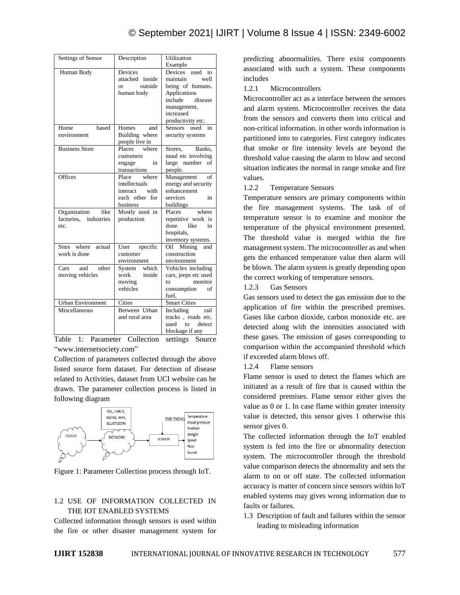| Settings of Sensor                                 | Description                                                                       | Utilization<br>Example                                                                                                                               |  |
|----------------------------------------------------|-----------------------------------------------------------------------------------|------------------------------------------------------------------------------------------------------------------------------------------------------|--|
| Human Body                                         | Devices<br>attached inside<br>or outside<br>human body                            | Devices<br>used<br>to<br>maintain<br>well<br>being of humans.<br>Applications<br>include<br>disease<br>management,<br>increased<br>productivity etc. |  |
| Home<br>based<br>environment                       | Homes<br>and<br>Building where<br>people live in                                  | Sensors used in<br>security systems                                                                                                                  |  |
| <b>Business Store</b>                              | Places<br>where<br>customers<br>in<br>engage<br>transactions                      | Stores, Banks,<br>maul etc involving<br>large number<br>οf<br>people.                                                                                |  |
| Offices                                            | where<br>Place<br>intellectuals<br>with<br>interact<br>each other for<br>business | Management<br>of<br>energy and security<br>enhancement<br>services<br>in<br>buildings                                                                |  |
| Organization like<br>factories, industries<br>etc. | Mostly used in<br>production                                                      | Places<br>where<br>repetitive work is<br>like<br>in<br>done<br>hospitals,<br>inventory systems.                                                      |  |
| Sites where<br>actual<br>work is done              | User<br>specific<br>customer<br>environment                                       | Oil Mining<br>and<br>construction<br>environment                                                                                                     |  |
| Cars<br>other<br>and<br>moving vehicles            | which<br>System<br>work<br>inside<br>moving<br>vehicles                           | Vehicles including<br>cars, jeeps etc used<br>monitor<br>to<br>consumption<br>of<br>fuel.                                                            |  |
| Urban Environment<br>Miscellaneous                 | Cities<br>Between Urban<br>and rural area                                         | Smart Cities<br>Including rail<br>tracks, roads etc.<br>$\mathbf{t}$<br>used<br>detect<br>blockage if any                                            |  |

Table 1: Parameter Collection settings Source "www.internetsociety.com"

Collection of parameters collected through the above listed source form dataset. For detection of disease related to Activities, dataset from UCI website can be drawn. The parameter collection process is listed in following diagram



Figure 1: Parameter Collection process through IoT.

## 1.2 USE OF INFORMATION COLLECTED IN THE IOT ENABLED SYSTEMS

Collected information through sensors is used within the fire or other disaster management system for predicting abnormalities. There exist components associated with such a system. These components includes

1.2.1 Microcontrollers

Microcontroller act as a interface between the sensors and alarm system. Microcontroller receives the data from the sensors and converts them into critical and non-critical information. in other words information is partitioned into to categories. First category indicates that smoke or fire intensity levels are beyond the threshold value causing the alarm to blow and second situation indicates the normal in range smoke and fire values.

#### 1.2.2 Temperature Sensors

Temperature sensors are primary components within the fire management systems. The task of of temperature sensor is to examine and monitor the temperature of the physical environment presented. The threshold value is merged within the fire management system. The microcontroller as and when gets the enhanced temperature value then alarm will be blown. The alarm system is greatly depending upon the correct working of temperature sensors.

#### 1.2.3 Gas Sensors

Gas sensors used to detect the gas emission due to the application of fire within the prescribed premises. Gases like carbon dioxide, carbon monoxide etc. are detected along with the intensities associated with these gases. The emission of gases corresponding to comparison within the accompanied threshold which if exceeded alarm blows off.

1.2.4 Flame sensors

Flame sensor is used to detect the flames which are initiated as a result of fire that is caused within the considered premises. Flame sensor either gives the value as 0 or 1. In case flame within greater intensity value is detected, this sensor gives 1 otherwise this sensor gives 0.

The collected information through the IoT enabled system is fed into the fire or abnormality detection system. The microcontroller through the threshold value comparison detects the abnormality and sets the alarm to on or off state. The collected information accuracy is matter of concern since sensors within IoT enabled systems may gives wrong information due to faults or failures.

1.3 Description of fault and failures within the sensor leading to misleading information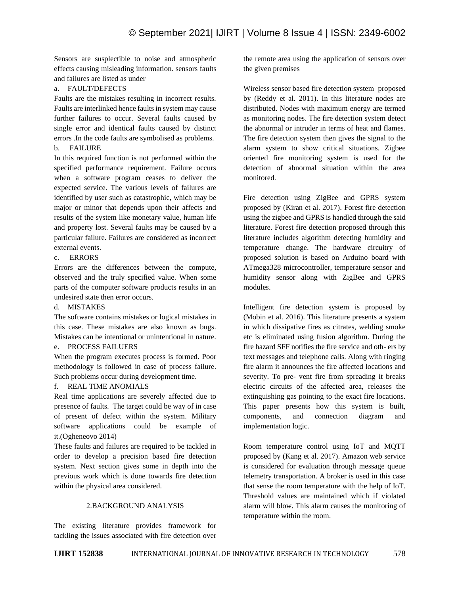Sensors are susplectible to noise and atmospheric effects causing misleading information. sensors faults and failures are listed as under

## a. FAULT/DEFECTS

Faults are the mistakes resulting in incorrect results. Faults are interlinked hence faults in system may cause further failures to occur. Several faults caused by single error and identical faults caused by distinct errors .In the code faults are symbolised as problems. b. FAILURE

In this required function is not performed within the specified performance requirement. Failure occurs when a software program ceases to deliver the expected service. The various levels of failures are identified by user such as catastrophic, which may be major or minor that depends upon their affects and results of the system like monetary value, human life and property lost. Several faults may be caused by a particular failure. Failures are considered as incorrect external events.

## c. ERRORS

Errors are the differences between the compute, observed and the truly specified value. When some parts of the computer software products results in an undesired state then error occurs.

#### d. MISTAKES

The software contains mistakes or logical mistakes in this case. These mistakes are also known as bugs. Mistakes can be intentional or unintentional in nature.

# e. PROCESS FAILUERS

When the program executes process is formed. Poor methodology is followed in case of process failure. Such problems occur during development time.

## f. REAL TIME ANOMIALS

Real time applications are severely affected due to presence of faults. The target could be way of in case of present of defect within the system. Military software applications could be example of it.(Ogheneovo 2014)

These faults and failures are required to be tackled in order to develop a precision based fire detection system. Next section gives some in depth into the previous work which is done towards fire detection within the physical area considered.

#### 2.BACKGROUND ANALYSIS

The existing literature provides framework for tackling the issues associated with fire detection over the remote area using the application of sensors over the given premises

Wireless sensor based fire detection system proposed by (Reddy et al. 2011). In this literature nodes are distributed. Nodes with maximum energy are termed as monitoring nodes. The fire detection system detect the abnormal or intruder in terms of heat and flames. The fire detection system then gives the signal to the alarm system to show critical situations. Zigbee oriented fire monitoring system is used for the detection of abnormal situation within the area monitored.

Fire detection using ZigBee and GPRS system proposed by (Kiran et al. 2017). Forest fire detection using the zigbee and GPRS is handled through the said literature. Forest fire detection proposed through this literature includes algorithm detecting humidity and temperature change. The hardware circuitry of proposed solution is based on Arduino board with ATmega328 microcontroller, temperature sensor and humidity sensor along with ZigBee and GPRS modules.

Intelligent fire detection system is proposed by (Mobin et al. 2016). This literature presents a system in which dissipative fires as citrates, welding smoke etc is eliminated using fusion algorithm. During the fire hazard SFF notifies the fire service and oth- ers by text messages and telephone calls. Along with ringing fire alarm it announces the fire affected locations and severity. To pre- vent fire from spreading it breaks electric circuits of the affected area, releases the extinguishing gas pointing to the exact fire locations. This paper presents how this system is built, components, and connection diagram and implementation logic.

Room temperature control using IoT and MQTT proposed by (Kang et al. 2017). Amazon web service is considered for evaluation through message queue telemetry transportation. A broker is used in this case that sense the room temperature with the help of IoT. Threshold values are maintained which if violated alarm will blow. This alarm causes the monitoring of temperature within the room.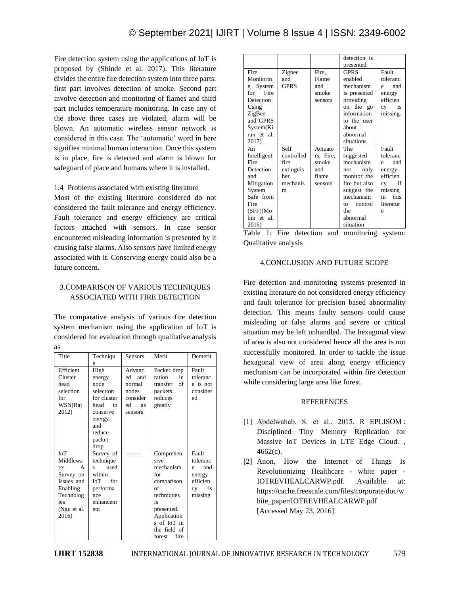Fire detection system using the applications of IoT is proposed by (Shinde et al. 2017). This literature divides the entire fire detection system into three parts: first part involves detection of smoke. Second part involve detection and monitoring of flames and third part includes temperature monitoring. In case any of the above three cases are violated, alarm will be blown. An automatic wireless sensor network is considered in this case. The 'automatic' word in here signifies minimal human interaction. Once this system is in place, fire is detected and alarm is blown for safeguard of place and humans where it is installed.

#### 1.4 Problems associated with existing literature

Most of the existing literature considered do not considered the fault tolerance and energy efficiency. Fault tolerance and energy efficiency are critical factors attached with sensors. In case sensor encountered misleading information is presented by it causing false alarms. Also sensors have limited energy associated with it. Conserving energy could also be a future concern.

## 3.COMPARISON OF VARIOUS TECHNIQUES ASSOCIATED WITH FIRE DETECTION

The comparative analysis of various fire detection system mechanism using the application of IoT is considered for evaluation through qualitative analysis

| Title                                                                                                          | Techniqu                                                                                                                  | <b>Sensors</b>                                                            | Merit                                                                                                                                                       | Demerit                                                                    |
|----------------------------------------------------------------------------------------------------------------|---------------------------------------------------------------------------------------------------------------------------|---------------------------------------------------------------------------|-------------------------------------------------------------------------------------------------------------------------------------------------------------|----------------------------------------------------------------------------|
|                                                                                                                | e                                                                                                                         |                                                                           |                                                                                                                                                             |                                                                            |
| Efficient<br>Cluster<br>head<br>selection<br>for<br>WSN(Raj<br>2012)                                           | High<br>energy<br>node<br>selection<br>for cluster<br>head<br>to<br>conserve<br>energy<br>and<br>reduce<br>packet<br>drop | Advanc<br>ed<br>and<br>normal<br>nodes<br>consider<br>ed<br>as<br>sensors | Packet drop<br>ration<br>in<br>transfer<br>of<br>packets<br>reduces<br>greatly                                                                              | Fault<br>toleranc<br>e is not<br>consider<br>ed                            |
| IoT<br>Middlewa<br>A<br>re:<br>Survey on<br>Issues and<br>Enabling<br>Technolog<br>ies<br>(Ngu et al.<br>2016) | Survey of<br>technique<br>used<br>$\mathbf{s}$<br>within<br>for<br><b>ToT</b><br>performa<br>nce<br>enhancem<br>ent       |                                                                           | Comprehen<br>sive<br>mechanism<br>for<br>comparison<br>of<br>techniques<br>is<br>presented.<br>Application<br>s of IoT in<br>the field of<br>forest<br>fire | Fault<br>toleranc<br>and<br>e<br>energy<br>efficien<br>is<br>cy<br>missing |

|                   |               |                | detection is    |                   |
|-------------------|---------------|----------------|-----------------|-------------------|
|                   |               |                | presented       |                   |
| Fire<br>Monitorin | Zigbee<br>and | Fire.<br>Flame | GPRS<br>enabled | Fault<br>toleranc |
| System            | <b>GPRS</b>   | and            | mechanism       | and<br>e          |
| g<br>for<br>Fire  |               | smoke          | is presented    | energy            |
| Detection         |               | sensors        | providing       | efficien          |
| Using             |               |                | on the go       | is<br>cy          |
| ZigBee            |               |                | information     | missing.          |
| and GPRS          |               |                | to the user     |                   |
| System(Ki         |               |                | about           |                   |
| ran et al.        |               |                | abnormal        |                   |
| 2017)             |               |                | situations.     |                   |
| An                | Self          | Actuato        | The             | Fault             |
| Intelligent       | controlled    | rs, Fire,      | suggested       | toleranc          |
| Fire              | fire          | smoke          | mechanism       | and<br>e          |
| Detection         | extinguis     | and            | only<br>not.    | energy            |
| and               | her           | flame          | monitor the     | efficien          |
| Mitigation        | mechanis      | sensors        | fire but also   | if<br>cy          |
| System            | m             |                | suggest the     | missing           |
| Safe from         |               |                | mechanism       | this<br>in        |
| Fire              |               |                | control<br>tο   | literatur         |
| (SFF)(Mo)         |               |                | the             | e                 |
| bin et al.        |               |                | abnormal        |                   |
| 2016              |               |                | situation       |                   |

|                      |  |  | Table 1: Fire detection and monitoring system: |  |
|----------------------|--|--|------------------------------------------------|--|
| Qualitative analysis |  |  |                                                |  |

#### 4.CONCLUSION AND FUTURE SCOPE

Fire detection and monitoring systems presented in existing literature do not considered energy efficiency and fault tolerance for precision based abnormality detection. This means faulty sensors could cause misleading or false alarms and severe or critical situation may be left unhandled. The hexagonal view of area is also not considered hence all the area is not successfully monitored. In order to tackle the issue hexagonal view of area along energy efficiency mechanism can be incorporated within fire detection while considering large area like forest.

#### REFERENCES

- [1] Abdelwahab, S. et al., 2015. R EPLISOM : Disciplined Tiny Memory Replication for Massive IoT Devices in LTE Edge Cloud. , 4662(c).
- [2] Anon, How the Internet of Things Is Revolutionizing Healthcare - white paper - IOTREVHEALCARWP.pdf. Available at: https://cache.freescale.com/files/corporate/doc/w hite\_paper/IOTREVHEALCARWP.pdf [Accessed May 23, 2016].

as